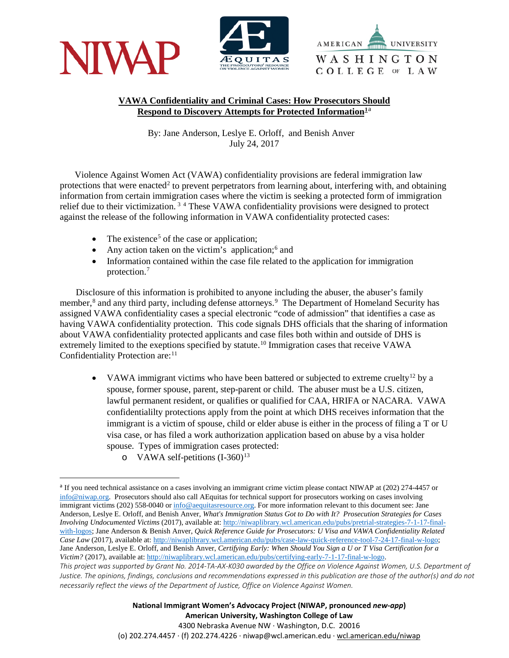





## **VAWA Confidentiality and Criminal Cases: How Prosecutors Should Respond to Discovery Attempts for Protected Information[1](#page-6-0)**[a](#page-0-0)

By: Jane Anderson, Leslye E. Orloff, and Benish Anver July 24, 2017

Violence Against Women Act (VAWA) confidentiality provisions are federal immigration law protections that were enacted<sup>[2](#page-6-1)</sup> to prevent perpetrators from learning about, interfering with, and obtaining information from certain immigration cases where the victim is seeking a protected form of immigration relief due to their victimization. [3](#page-6-2) [4](#page-6-3) These VAWA confidentiality provisions were designed to protect against the release of the following information in VAWA confidentiality protected cases:

- The existence<sup>[5](#page-6-4)</sup> of the case or application;
- Any action taken on the victim's application;<sup>[6](#page-6-5)</sup> and
- Information contained within the case file related to the application for immigration protection. [7](#page-6-6)

 Disclosure of this information is prohibited to anyone including the abuser, the abuser's family member,<sup>[8](#page-6-7)</sup> and any third party, including defense attorneys.<sup>[9](#page-6-8)</sup> The Department of Homeland Security has assigned VAWA confidentiality cases a special electronic "code of admission" that identifies a case as having VAWA confidentiality protection. This code signals DHS officials that the sharing of information about VAWA confidentiality protected applicants and case files both within and outside of DHS is extremely limited to the exeptions specified by statute.<sup>[10](#page-6-9)</sup> Immigration cases that receive VAWA Confidentiality Protection are:<sup>[11](#page-6-10)</sup>

- VAWA immigrant victims who have been battered or subjected to extreme cruelty<sup>[12](#page-6-11)</sup> by a spouse, former spouse, parent, step-parent or child. The abuser must be a U.S. citizen, lawful permanent resident, or qualifies or qualified for CAA, HRIFA or NACARA. VAWA confidentialilty protections apply from the point at which DHS receives information that the immigrant is a victim of spouse, child or elder abuse is either in the process of filing a T or U visa case, or has filed a work authorization application based on abuse by a visa holder spouse. Types of immigration cases protected:
	- o VAWA self-petitions  $(I-360)^{13}$  $(I-360)^{13}$  $(I-360)^{13}$

**National Immigrant Women's Advocacy Project (NIWAP, pronounced** *new-app***) American University, Washington College of Law** 4300 Nebraska Avenue NW · Washington, D.C. 20016

(o) 202.274.4457 · (f) 202.274.4226 · niwap@wcl.american.edu · wcl.american.edu/niwap

<span id="page-0-0"></span>*This project was supported by Grant No. 2014-TA-AX-K030 awarded by the Office on Violence Against Women, U.S. Department of Justice. The opinions, findings, conclusions and recommendations expressed in this publication are those of the author(s) and do not necessarily reflect the views of the Department of Justice, Office on Violence Against Women.* <sup>a</sup> If you need technical assistance on a cases involving an immigrant crime victim please contact NIWAP at (202) 274-4457 or [info@niwap.org.](mailto:info@niwap.org) Prosecutors should also call AEquitas for technical support for prosecutors working on cases involving immigrant victims (202) 558-0040 o[r info@aequitasresource.org.](mailto:info@aequitasresource.org) For more information relevant to this document see: Jane Anderson, Leslye E. Orloff, and Benish Anver, *What's Immigration Status Got to Do with It? Prosecution Strategies for Cases Involving Undocumented Victims* (2017), available at[: http://niwaplibrary.wcl.american.edu/pubs/pretrial-strategies-7-1-17-final](http://niwaplibrary.wcl.american.edu/pubs/pretrial-strategies-7-1-17-final-with-logos)[with-logos;](http://niwaplibrary.wcl.american.edu/pubs/pretrial-strategies-7-1-17-final-with-logos) Jane Anderson & Benish Anver, *Quick Reference Guide for Prosecutors: U Visa and VAWA Confidentiality Related Case Law* (2017), available at[: http://niwaplibrary.wcl.american.edu/pubs/case-law-quick-reference-tool-7-24-17-final-w-logo;](http://niwaplibrary.wcl.american.edu/pubs/case-law-quick-reference-tool-7-24-17-final-w-logo) Jane Anderson, Leslye E. Orloff, and Benish Anver, *Certifying Early: When Should You Sign a U or T Visa Certification for a Victim?* (2017), available at[: http://niwaplibrary.wcl.american.edu/pubs/certifying-early-7-1-17-final-w-logo.](http://niwaplibrary.wcl.american.edu/pubs/certifying-early-7-1-17-final-w-logo)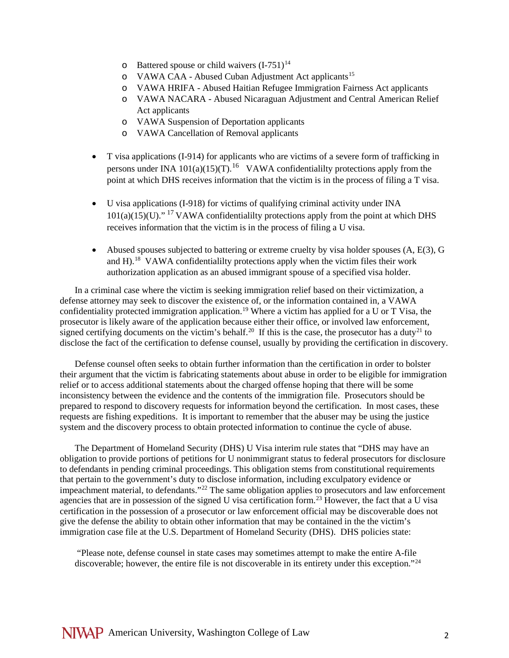- $\circ$  Battered spouse or child waivers  $(I-751)^{14}$  $(I-751)^{14}$  $(I-751)^{14}$
- o VAWA CAA Abused Cuban Adjustment Act applicants<sup>[15](#page-7-1)</sup>
- o VAWA HRIFA Abused Haitian Refugee Immigration Fairness Act applicants
- o VAWA NACARA Abused Nicaraguan Adjustment and Central American Relief Act applicants
- o VAWA Suspension of Deportation applicants
- o VAWA Cancellation of Removal applicants
- T visa applications (I-914) for applicants who are victims of a severe form of trafficking in persons under INA  $101(a)(15)(T)$ .<sup>[16](#page-7-2)</sup> VAWA confidentialilty protections apply from the point at which DHS receives information that the victim is in the process of filing a T visa.
- U visa applications (I-918) for victims of qualifying criminal activity under INA  $101(a)(15)(U)$ ."<sup>[17](#page-7-3)</sup> VAWA confidentialilty protections apply from the point at which DHS receives information that the victim is in the process of filing a U visa.
- Abused spouses subjected to battering or extreme cruelty by visa holder spouses  $(A, E(3), G)$ and H).<sup>[18](#page-7-4)</sup> VAWA confidentialilty protections apply when the victim files their work authorization application as an abused immigrant spouse of a specified visa holder.

In a criminal case where the victim is seeking immigration relief based on their victimization, a defense attorney may seek to discover the existence of, or the information contained in, a VAWA confidentiality protected immigration application. [19](#page-7-5) Where a victim has applied for a U or T Visa, the prosecutor is likely aware of the application because either their office, or involved law enforcement, signed certifying documents on the victim's behalf.<sup>[20](#page-7-6)</sup> If this is the case, the prosecutor has a duty<sup>[21](#page-7-7)</sup> to disclose the fact of the certification to defense counsel, usually by providing the certification in discovery.

Defense counsel often seeks to obtain further information than the certification in order to bolster their argument that the victim is fabricating statements about abuse in order to be eligible for immigration relief or to access additional statements about the charged offense hoping that there will be some inconsistency between the evidence and the contents of the immigration file. Prosecutors should be prepared to respond to discovery requests for information beyond the certification. In most cases, these requests are fishing expeditions. It is important to remember that the abuser may be using the justice system and the discovery process to obtain protected information to continue the cycle of abuse.

The Department of Homeland Security (DHS) U Visa interim rule states that "DHS may have an obligation to provide portions of petitions for U nonimmigrant status to federal prosecutors for disclosure to defendants in pending criminal proceedings. This obligation stems from constitutional requirements that pertain to the government's duty to disclose information, including exculpatory evidence or impeachment material, to defendants."[22](#page-7-8) The same obligation applies to prosecutors and law enforcement agencies that are in possession of the signed U visa certification form.<sup>[23](#page-7-9)</sup> However, the fact that a U visa certification in the possession of a prosecutor or law enforcement official may be discoverable does not give the defense the ability to obtain other information that may be contained in the the victim's immigration case file at the U.S. Department of Homeland Security (DHS). DHS policies state:

"Please note, defense counsel in state cases may sometimes attempt to make the entire A-file discoverable: however, the entire file is not discoverable in its entirety under this exception."<sup>[24](#page-7-10)</sup>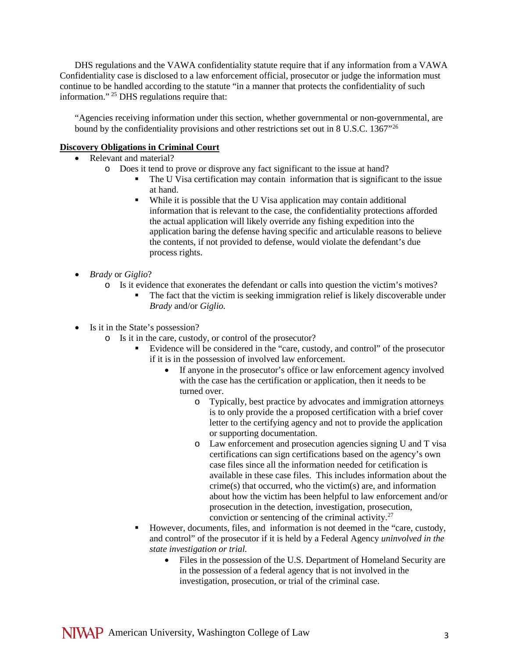DHS regulations and the VAWA confidentiality statute require that if any information from a VAWA Confidentiality case is disclosed to a law enforcement official, prosecutor or judge the information must continue to be handled according to the statute "in a manner that protects the confidentiality of such information." [25](#page-8-0) DHS regulations require that:

"Agencies receiving information under this section, whether governmental or non-governmental, are bound by the confidentiality provisions and other restrictions set out in 8 U.S.C. 1367<sup>"[26](#page-8-1)</sup>

## **Discovery Obligations in Criminal Court**

- Relevant and material?
	- o Does it tend to prove or disprove any fact significant to the issue at hand?
		- The U Visa certification may contain information that is significant to the issue at hand.
		- While it is possible that the U Visa application may contain additional information that is relevant to the case, the confidentiality protections afforded the actual application will likely override any fishing expedition into the application baring the defense having specific and articulable reasons to believe the contents, if not provided to defense, would violate the defendant's due process rights.
- *Brady* or *Giglio*?
	- o Is it evidence that exonerates the defendant or calls into question the victim's motives?
		- The fact that the victim is seeking immigration relief is likely discoverable under *Brady* and/or *Giglio.*
- Is it in the State's possession?
	- o Is it in the care, custody, or control of the prosecutor?
		- Evidence will be considered in the "care, custody, and control" of the prosecutor if it is in the possession of involved law enforcement.
			- If anyone in the prosecutor's office or law enforcement agency involved with the case has the certification or application, then it needs to be turned over.
				- o Typically, best practice by advocates and immigration attorneys is to only provide the a proposed certification with a brief cover letter to the certifying agency and not to provide the application or supporting documentation.
				- o Law enforcement and prosecution agencies signing U and T visa certifications can sign certifications based on the agency's own case files since all the information needed for cetification is available in these case files. This includes information about the crime(s) that occurred, who the victim(s) are, and information about how the victim has been helpful to law enforcement and/or prosecution in the detection, investigation, prosecution, conviction or sentencing of the criminal activity.<sup>[27](#page-8-2)</sup>
		- However, documents, files, and information is not deemed in the "care, custody, and control" of the prosecutor if it is held by a Federal Agency *uninvolved in the state investigation or trial.*
			- Files in the possession of the U.S. Department of Homeland Security are in the possession of a federal agency that is not involved in the investigation, prosecution, or trial of the criminal case.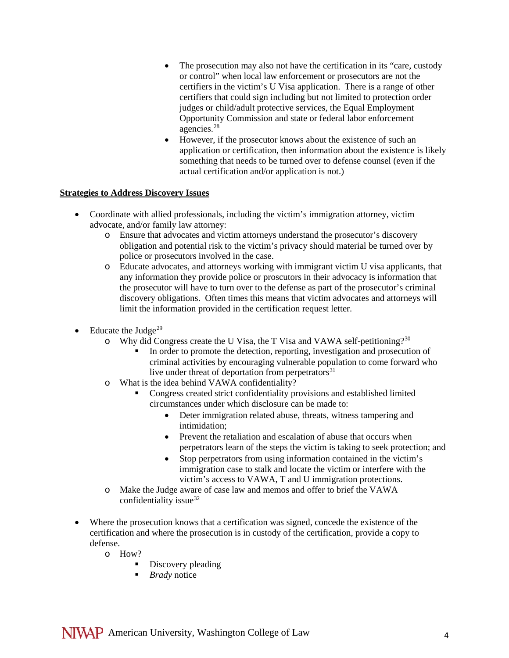- The prosecution may also not have the certification in its "care, custody" or control" when local law enforcement or prosecutors are not the certifiers in the victim's U Visa application. There is a range of other certifiers that could sign including but not limited to protection order judges or child/adult protective services, the Equal Employment Opportunity Commission and state or federal labor enforcement agencies. [28](#page-8-3)
- However, if the prosecutor knows about the existence of such an application or certification, then information about the existence is likely something that needs to be turned over to defense counsel (even if the actual certification and/or application is not.)

## **Strategies to Address Discovery Issues**

- Coordinate with allied professionals, including the victim's immigration attorney, victim advocate, and/or family law attorney:
	- o Ensure that advocates and victim attorneys understand the prosecutor's discovery obligation and potential risk to the victim's privacy should material be turned over by police or prosecutors involved in the case.
	- o Educate advocates, and attorneys working with immigrant victim U visa applicants, that any information they provide police or proscutors in their advocacy is information that the prosecutor will have to turn over to the defense as part of the prosecutor's criminal discovery obligations. Often times this means that victim advocates and attorneys will limit the information provided in the certification request letter.
- Educate the Judge<sup>[29](#page-8-4)</sup>
	- o Why did Congress create the U Visa, the T Visa and VAWA self-petitioning?<sup>[30](#page-8-5)</sup>
		- In order to promote the detection, reporting, investigation and prosecution of criminal activities by encouraging vulnerable population to come forward who live under threat of deportation from perpetrators<sup>[31](#page-8-6)</sup>
	- o What is the idea behind VAWA confidentiality?
		- Congress created strict confidentiality provisions and established limited circumstances under which disclosure can be made to:
			- Deter immigration related abuse, threats, witness tampering and intimidation;
			- Prevent the retaliation and escalation of abuse that occurs when perpetrators learn of the steps the victim is taking to seek protection; and
			- Stop perpetrators from using information contained in the victim's immigration case to stalk and locate the victim or interfere with the victim's access to VAWA, T and U immigration protections.
	- o Make the Judge aware of case law and memos and offer to brief the VAWA confidentiality issue<sup>32</sup>
- Where the prosecution knows that a certification was signed, concede the existence of the certification and where the prosecution is in custody of the certification, provide a copy to defense.
	- o How?
		- Discovery pleading
		- **Brady** notice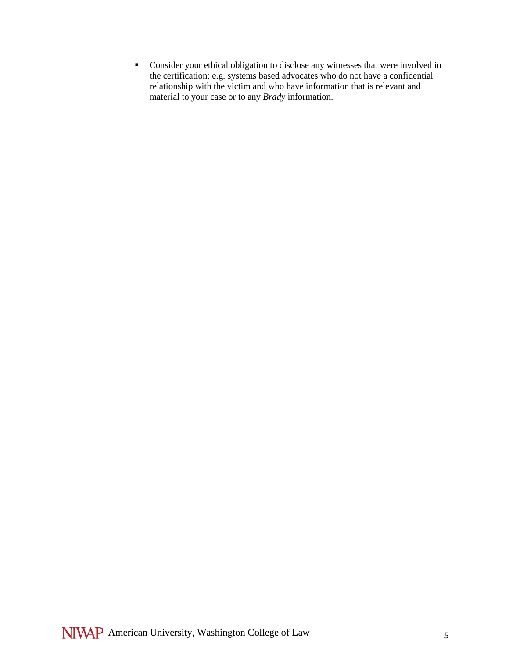Consider your ethical obligation to disclose any witnesses that were involved in the certification; e.g. systems based advocates who do not have a confidential relationship with the victim and who have information that is relevant and material to your case or to any *Brady* information.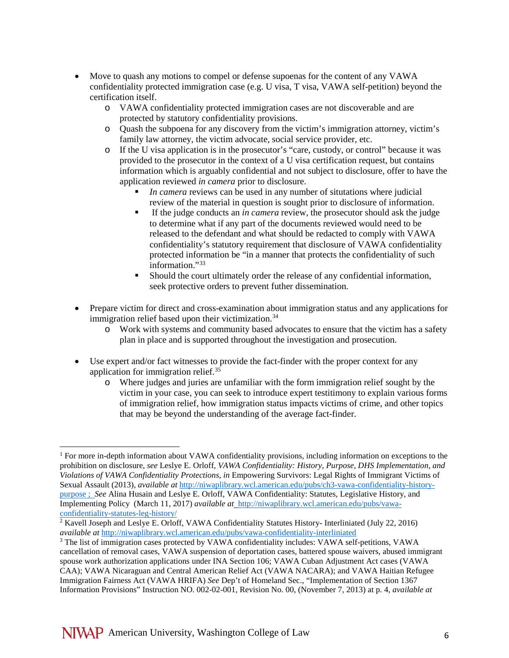- Move to quash any motions to compel or defense supoenas for the content of any VAWA confidentiality protected immigration case (e.g. U visa, T visa, VAWA self-petition) beyond the certification itself.
	- o VAWA confidentiality protected immigration cases are not discoverable and are protected by statutory confidentiality provisions.
	- o Quash the subpoena for any discovery from the victim's immigration attorney, victim's family law attorney, the victim advocate, social service provider, etc.
	- o If the U visa application is in the prosecutor's "care, custody, or control" because it was provided to the prosecutor in the context of a U visa certification request, but contains information which is arguably confidential and not subject to disclosure, offer to have the application reviewed *in camera* prior to disclosure.
		- *In camera* reviews can be used in any number of situtations where judicial review of the material in question is sought prior to disclosure of information.
		- If the judge conducts an *in camera* review, the prosecutor should ask the judge to determine what if any part of the documents reviewed would need to be released to the defendant and what should be redacted to comply with VAWA confidentiality's statutory requirement that disclosure of VAWA confidentiality protected information be "in a manner that protects the confidentiality of such information."[33](#page-8-8)
		- Should the court ultimately order the release of any confidential information, seek protective orders to prevent futher dissemination.
- Prepare victim for direct and cross-examination about immigration status and any applications for immigration relief based upon their victimization.<sup>[34](#page-8-9)</sup>
	- o Work with systems and community based advocates to ensure that the victim has a safety plan in place and is supported throughout the investigation and prosecution.
- Use expert and/or fact witnesses to provide the fact-finder with the proper context for any application for immigration relief.[35](#page-8-10)
	- o Where judges and juries are unfamiliar with the form immigration relief sought by the victim in your case, you can seek to introduce expert testitimony to explain various forms of immigration relief, how immigration status impacts victims of crime, and other topics that may be beyond the understanding of the average fact-finder.

<sup>&</sup>lt;sup>1</sup> For more in-depth information about VAWA confidentiality provisions, including information on exceptions to the prohibition on disclosure, *see* Leslye E. Orloff, *VAWA Confidentiality: History, Purpose, DHS Implementation, and Violations of VAWA Confidentiality Protections*, *in* Empowering Survivors: Legal Rights of Immigrant Victims of Sexual Assault (2013), *available at* [http://niwaplibrary.wcl.american.edu/pubs/ch3-vawa-confidentiality-history](http://niwaplibrary.wcl.american.edu/pubs/ch3-vawa-confidentiality-history-purpose)[purpose](http://niwaplibrary.wcl.american.edu/pubs/ch3-vawa-confidentiality-history-purpose) ; *See* Alina Husain and Leslye E. Orloff, VAWA Confidentiality: Statutes, Legislative History, and Implementing Policy (March 11, 2017) *available at* [http://niwaplibrary.wcl.american.edu/pubs/vawa](http://niwaplibrary.wcl.american.edu/pubs/vawa-confidentiality-statutes-leg-history/)[confidentiality-statutes-leg-history/](http://niwaplibrary.wcl.american.edu/pubs/vawa-confidentiality-statutes-leg-history/) l

<sup>2</sup> Kavell Joseph and Leslye E. Orloff, VAWA Confidentiality Statutes History- Interliniated (July 22, 2016) *available at* <http://niwaplibrary.wcl.american.edu/pubs/vawa-confidentiality-interliniated>

<sup>3</sup> The list of immigration cases protected by VAWA confidentiality includes: VAWA self-petitions, VAWA cancellation of removal cases, VAWA suspension of deportation cases, battered spouse waivers, abused immigrant spouse work authorization applications under INA Section 106; VAWA Cuban Adjustment Act cases (VAWA CAA); VAWA Nicaraguan and Central American Relief Act (VAWA NACARA); and VAWA Haitian Refugee Immigration Fairness Act (VAWA HRIFA) *See* Dep't of Homeland Sec., "Implementation of Section 1367 Information Provisions" Instruction NO. 002-02-001, Revision No. 00, (November 7, 2013) at p. 4, *available at*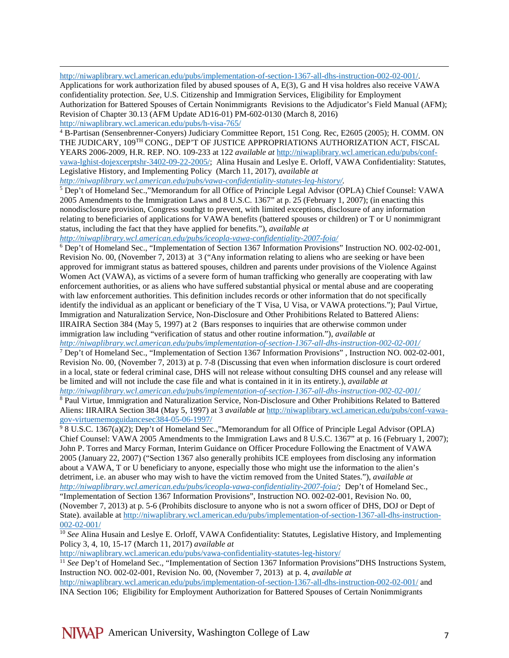$\overline{\phantom{a}}$ [http://niwaplibrary.wcl.american.edu/pubs/implementation-of-section-1367-all-dhs-instruction-002-02-001/.](http://niwaplibrary.wcl.american.edu/pubs/implementation-of-section-1367-all-dhs-instruction-002-02-001/) 

<span id="page-6-11"></span>Applications for work authorization filed by abused spouses of A, E(3), G and H visa holdres also receive VAWA confidentiality protection. *See,* U.S. Citizenship and Immigration Services, Eligibility for Employment Authorization for Battered Spouses of Certain Nonimmigrants Revisions to the Adjudicator's Field Manual (AFM); Revision of Chapter 30.13 (AFM Update AD16-01) PM-602-0130 (March 8, 2016) <http://niwaplibrary.wcl.american.edu/pubs/h-visa-765/>

<span id="page-6-12"></span><span id="page-6-3"></span><sup>4</sup> B-Partisan (Sensenbrenner-Conyers) Judiciary Committee Report, 151 Cong. Rec, E2605 (2005); H. COMM. ON THE JUDICARY, 109TH CONG., DEP'T OF JUSTICE APPROPRIATIONS AUTHORIZATION ACT, FISCAL YEARS 2006-2009, H.R. REP. NO. 109-233 at 122 *available at* [http://niwaplibrary.wcl.american.edu/pubs/conf](http://niwaplibrary.wcl.american.edu/pubs/conf-vawa-lghist-dojexcerptshr-3402-09-22-2005/)[vawa-lghist-dojexcerptshr-3402-09-22-2005/;](http://niwaplibrary.wcl.american.edu/pubs/conf-vawa-lghist-dojexcerptshr-3402-09-22-2005/) Alina Husain and Leslye E. Orloff, VAWA Confidentiality: Statutes, Legislative History, and Implementing Policy (March 11, 2017), *available at [http://niwaplibrary.wcl.american.edu/pubs/vawa-confidentiality-statutes-leg-history/.](http://niwaplibrary.wcl.american.edu/pubs/vawa-confidentiality-statutes-leg-history/)*

<span id="page-6-4"></span><sup>5</sup> Dep't of Homeland Sec.,"Memorandum for all Office of Principle Legal Advisor (OPLA) Chief Counsel: VAWA 2005 Amendments to the Immigration Laws and 8 U.S.C. 1367" at p. 25 (February 1, 2007); (in enacting this nonodisclosure provision, Congress southgt to prevent, with limited exceptions, disclosure of any information

relating to beneficiaries of applications for VAWA benefits (battered spouses or children) or T or U nonimmigrant status, including the fact that they have applied for benefits."), *available at* 

*<http://niwaplibrary.wcl.american.edu/pubs/iceopla-vawa-confidentiality-2007-foia/>*

<span id="page-6-5"></span><sup>6</sup> Dep't of Homeland Sec., "Implementation of Section 1367 Information Provisions" Instruction NO. 002-02-001, Revision No. 00, (November 7, 2013) at 3 ("Any information relating to aliens who are seeking or have been approved for immigrant status as battered spouses, children and parents under provisions of the Violence Against Women Act (VAWA), as victims of a severe form of human trafficking who generally are cooperating with law enforcement authorities, or as aliens who have suffered substantial physical or mental abuse and are cooperating with law enforcement authorities. This definition includes records or other information that do not specifically identify the individual as an applicant or beneficiary of the T Visa, U Visa, or VAWA protections."); Paul Virtue, Immigration and Naturalization Service, Non-Disclosure and Other Prohibitions Related to Battered Aliens: IIRAIRA Section 384 (May 5, 1997) at 2 (Bars responses to inquiries that are otherwise common under immigration law including "verification of status and other routine information."), *available at* 

*<http://niwaplibrary.wcl.american.edu/pubs/implementation-of-section-1367-all-dhs-instruction-002-02-001/>*

<span id="page-6-6"></span><sup>7</sup> Dep't of Homeland Sec., "Implementation of Section 1367 Information Provisions" , Instruction NO. 002-02-001, Revision No. 00, (November 7, 2013) at p. 7-8 (Discussing that even when information disclosure is court ordered in a local, state or federal criminal case, DHS will not release without consulting DHS counsel and any release will be limited and will not include the case file and what is contained in it in its entirety.), *available at <http://niwaplibrary.wcl.american.edu/pubs/implementation-of-section-1367-all-dhs-instruction-002-02-001/>*

<span id="page-6-7"></span><sup>8</sup> Paul Virtue, Immigration and Naturalization Service, Non-Disclosure and Other Prohibitions Related to Battered Aliens: IIRAIRA Section 384 (May 5, 1997) at 3 *available at* [http://niwaplibrary.wcl.american.edu/pubs/conf-vawa](http://niwaplibrary.wcl.american.edu/pubs/conf-vawa-gov-virtuememoguidancesec384-05-06-1997/)[gov-virtuememoguidancesec384-05-06-1997/](http://niwaplibrary.wcl.american.edu/pubs/conf-vawa-gov-virtuememoguidancesec384-05-06-1997/)

<span id="page-6-8"></span><span id="page-6-0"></span> $\frac{9}{9}$  8 U.S.C. 1367(a)(2); Dep't of Homeland Sec.,"Memorandum for all Office of Principle Legal Advisor (OPLA) Chief Counsel: VAWA 2005 Amendments to the Immigration Laws and 8 U.S.C. 1367" at p. 16 (February 1, 2007); John P. Torres and Marcy Forman, Interim Guidance on Officer Procedure Following the Enactment of VAWA 2005 (January 22, 2007) ("Section 1367 also generally prohibits ICE employees from disclosing any information about a VAWA, T or U beneficiary to anyone, especially those who might use the information to the alien's detriment, i.e. an abuser who may wish to have the victim removed from the United States."), *available at [http://niwaplibrary.wcl.american.edu/pubs/iceopla-vawa-confidentiality-2007-foia/;](http://niwaplibrary.wcl.american.edu/pubs/iceopla-vawa-confidentiality-2007-foia/)* Dep't of Homeland Sec.,

"Implementation of Section 1367 Information Provisions", Instruction NO. 002-02-001, Revision No. 00, (November 7, 2013) at p. 5-6 (Prohibits disclosure to anyone who is not a sworn officer of DHS, DOJ or Dept of State). available at [http://niwaplibrary.wcl.american.edu/pubs/implementation-of-section-1367-all-dhs-instruction-](http://niwaplibrary.wcl.american.edu/pubs/implementation-of-section-1367-all-dhs-instruction-002-02-001/)[002-02-001/](http://niwaplibrary.wcl.american.edu/pubs/implementation-of-section-1367-all-dhs-instruction-002-02-001/)

<span id="page-6-9"></span><span id="page-6-2"></span><span id="page-6-1"></span><sup>10</sup> See Alina Husain and Leslye E. Orloff, VAWA Confidentiality: Statutes, Legislative History, and Implementing Policy 3, 4, 10, 15-17 (March 11, 2017) *available at*

<http://niwaplibrary.wcl.american.edu/pubs/vawa-confidentiality-statutes-leg-history/>

<span id="page-6-10"></span><sup>11</sup> *See* Dep't of Homeland Sec., "Implementation of Section 1367 Information Provisions"DHS Instructions System, Instruction NO. 002-02-001, Revision No. 00, (November 7, 2013) at p. 4, *available at*

<http://niwaplibrary.wcl.american.edu/pubs/implementation-of-section-1367-all-dhs-instruction-002-02-001/> and INA Section 106; Eligibility for Employment Authorization for Battered Spouses of Certain Nonimmigrants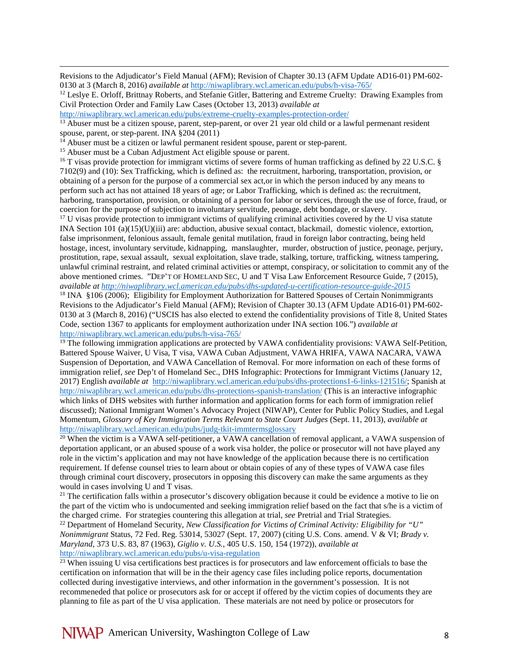Revisions to the Adjudicator's Field Manual (AFM); Revision of Chapter 30.13 (AFM Update AD16-01) PM-602- 0130 at 3 (March 8, 2016) *available at* <http://niwaplibrary.wcl.american.edu/pubs/h-visa-765/>

<span id="page-7-10"></span><sup>12</sup> Leslye E. Orloff, Brittnay Roberts, and Stefanie Gitler, Battering and Extreme Cruelty: Drawing Examples from Civil Protection Order and Family Law Cases (October 13, 2013) *available at*

<http://niwaplibrary.wcl.american.edu/pubs/extreme-cruelty-examples-protection-order/>

<sup>13</sup> Abuser must be a citizen spouse, parent, step-parent, or over 21 year old child or a lawful permenant resident spouse, parent, or step-parent. INA §204 (2011)

<span id="page-7-0"></span> $14$  Abuser must be a citizen or lawful permanent resident spouse, parent or step-parent.<br><sup>15</sup> Abuser must be a Cuban Adjustment Act eligible spouse or parent.

<span id="page-7-1"></span>

 $\overline{\phantom{a}}$ 

<span id="page-7-2"></span><sup>16</sup> T visas provide protection for immigrant victims of severe forms of human trafficking as defined by 22 U.S.C. § 7102(9) and (10): Sex Trafficking, which is defined as: the recruitment, harboring, transportation, provision, or obtaining of a person for the purpose of a commercial sex act,or in which the person induced by any means to perform such act has not attained 18 years of age; or Labor Trafficking, which is defined as: the recruitment, harboring, transportation, provision, or obtaining of a person for labor or services, through the use of force, fraud, or coercion for the purpose of subjection to involuntary servitude, peonage, debt bondage, or slavery.

<span id="page-7-3"></span><sup>17</sup> U visas provide protection to immigrant victims of qualifying criminal activities covered by the U visa statute INA Section 101 (a)(15)(U)(iii) are: abduction, abusive sexual contact, blackmail, domestic violence, extortion, false imprisonment, felonious assault, female genital mutilation, fraud in foreign labor contracting, being held hostage, incest, involuntary servitude, kidnapping, manslaughter, murder, obstruction of justice, peonage, perjury, prostitution, rape, sexual assault, sexual exploitation, slave trade, stalking, torture, trafficking, witness tampering, unlawful criminal restraint, and related criminal activities or attempt, conspiracy, or solicitation to commit any of the above mentioned crimes. "DEP'T OF HOMELAND SEC, U and T Visa Law Enforcement Resource Guide, 7 (2015), *available at<http://niwaplibrary.wcl.american.edu/pubs/dhs-updated-u-certification-resource-guide-2015>*

<span id="page-7-4"></span><sup>18</sup> INA §106 (2006); Eligibility for Employment Authorization for Battered Spouses of Certain Nonimmigrants Revisions to the Adjudicator's Field Manual (AFM); Revision of Chapter 30.13 (AFM Update AD16-01) PM-602- 0130 at 3 (March 8, 2016) ("USCIS has also elected to extend the confidentiality provisions of Title 8, United States Code, section 1367 to applicants for employment authorization under INA section 106.") *available at* <http://niwaplibrary.wcl.american.edu/pubs/h-visa-765/>

<span id="page-7-5"></span><sup>19</sup> The following immigration applications are protected by VAWA confidentiality provisions: VAWA Self-Petition, Battered Spouse Waiver, U Visa, T visa, VAWA Cuban Adjustment, VAWA HRIFA, VAWA NACARA, VAWA Suspension of Deportation, and VAWA Cancellation of Removal. For more information on each of these forms of immigration relief, *see* Dep't of Homeland Sec., DHS Infographic: Protections for Immigrant Victims (January 12, 2017) English *available at* [http://niwaplibrary.wcl.american.edu/pubs/dhs-protections1-6-links-121516/;](http://niwaplibrary.wcl.american.edu/pubs/dhs-protections1-6-links-121516/) Spanish at <http://niwaplibrary.wcl.american.edu/pubs/dhs-protections-spanish-translation/> (This is an interactive infographic which links of DHS websites with further information and application forms for each form of immigration relief discussed); National Immigrant Women's Advocacy Project (NIWAP), Center for Public Policy Studies, and Legal Momentum, *Glossary of Key Immigration Terms Relevant to State Court Judges* (Sept. 11, 2013), *available at* <http://niwaplibrary.wcl.american.edu/pubs/judg-tkit-immtermsglossary>

<span id="page-7-6"></span><sup>20</sup> When the victim is a VAWA self-petitioner, a VAWA cancellation of removal applicant, a VAWA suspension of deportation applicant, or an abused spouse of a work visa holder, the police or prosecutor will not have played any role in the victim's application and may not have knowledge of the application because there is no certification requirement. If defense counsel tries to learn about or obtain copies of any of these types of VAWA case files through criminal court discovery, prosecutors in opposing this discovery can make the same arguments as they would in cases involving U and T visas.

<span id="page-7-7"></span> $21$  The certification falls within a prosecutor's discovery obligation because it could be evidence a motive to lie on the part of the victim who is undocumented and seeking immigration relief based on the fact that s/he is a victim of the charged crime. For strategies countering this allegation at trial, *see* Pretrial and Trial Strategies.

<span id="page-7-8"></span><sup>22</sup> Department of Homeland Security, *New Classification for Victims of Criminal Activity: Eligibility for "U" Nonimmigrant* Status, 72 Fed. Reg. 53014, 53027 (Sept. 17, 2007) (citing U.S. Cons. amend. V & VI; *Brady v. Maryland*, 373 U.S. 83, 87 (1963), *Giglio v. U.S.*, 405 U.S. 150, 154 (1972)), *available at* <http://niwaplibrary.wcl.american.edu/pubs/u-visa-regulation>

<span id="page-7-9"></span> $^{23}$  When issuing U visa certifications best practices is for prosecutors and law enforcement officials to base the certification on information that will be in the their agency case files including police reports, documentation collected during investigative interviews, and other information in the government's possession. It is not recommeneded that police or prosecutors ask for or accept if offered by the victim copies of documents they are planning to file as part of the U visa application. These materials are not need by police or prosecutors for